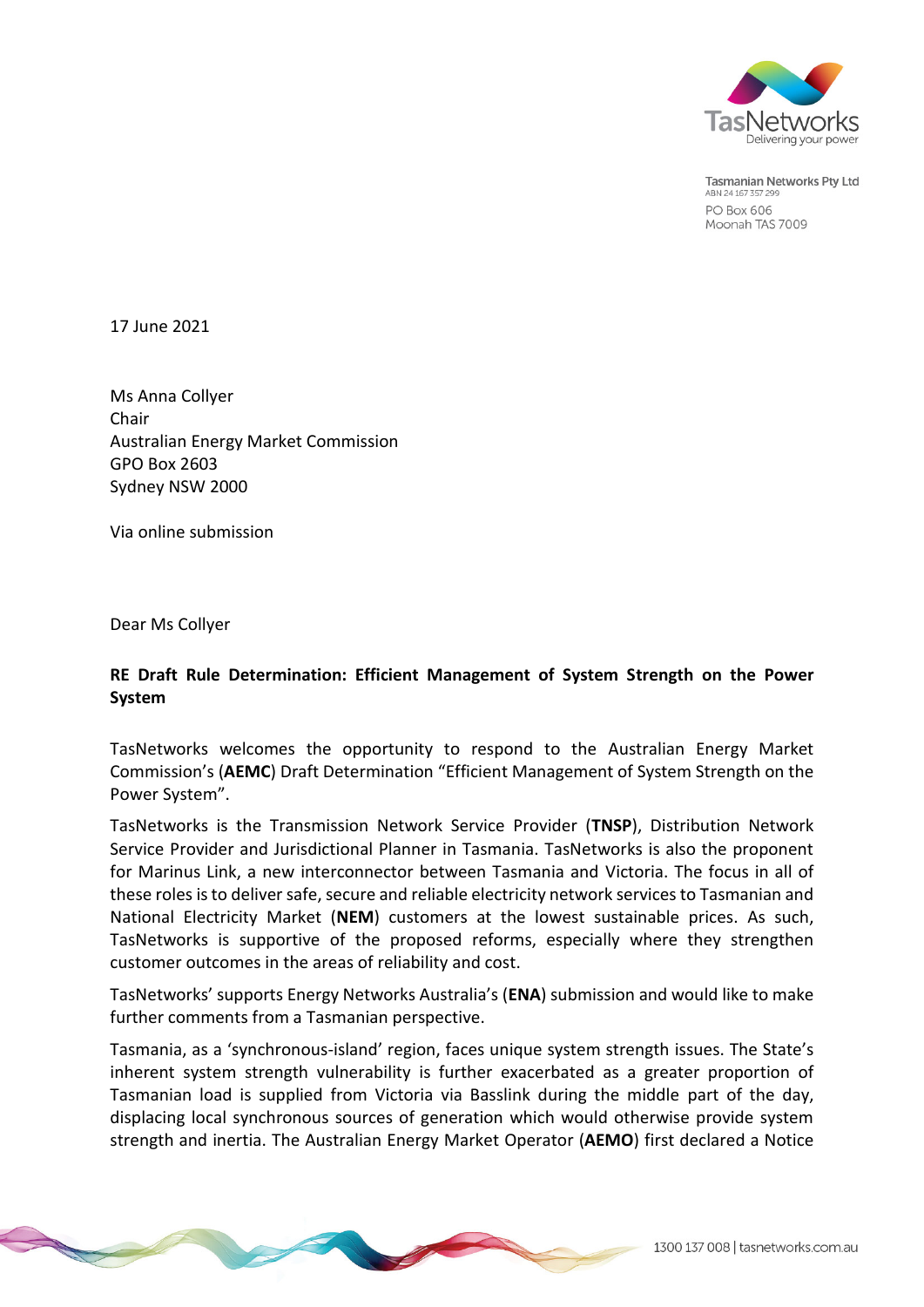

**Tasmanian Networks Pty Ltd** ABN 24 167 357 299 **PO Box 606** Moonah TAS 7009

17 June 2021

Ms Anna Collyer Chair Australian Energy Market Commission GPO Box 2603 Sydney NSW 2000

Via online submission

Dear Ms Collyer

## **RE Draft Rule Determination: Efficient Management of System Strength on the Power System**

TasNetworks welcomes the opportunity to respond to the Australian Energy Market Commission's (**AEMC**) Draft Determination "Efficient Management of System Strength on the Power System".

TasNetworks is the Transmission Network Service Provider (**TNSP**), Distribution Network Service Provider and Jurisdictional Planner in Tasmania. TasNetworks is also the proponent for Marinus Link, a new interconnector between Tasmania and Victoria. The focus in all of these roles is to deliver safe, secure and reliable electricity network services to Tasmanian and National Electricity Market (**NEM**) customers at the lowest sustainable prices. As such, TasNetworks is supportive of the proposed reforms, especially where they strengthen customer outcomes in the areas of reliability and cost.

TasNetworks' supports Energy Networks Australia's (**ENA**) submission and would like to make further comments from a Tasmanian perspective.

Tasmania, as a 'synchronous-island' region, faces unique system strength issues. The State's inherent system strength vulnerability is further exacerbated as a greater proportion of Tasmanian load is supplied from Victoria via Basslink during the middle part of the day, displacing local synchronous sources of generation which would otherwise provide system strength and inertia. The Australian Energy Market Operator (**AEMO**) first declared a Notice

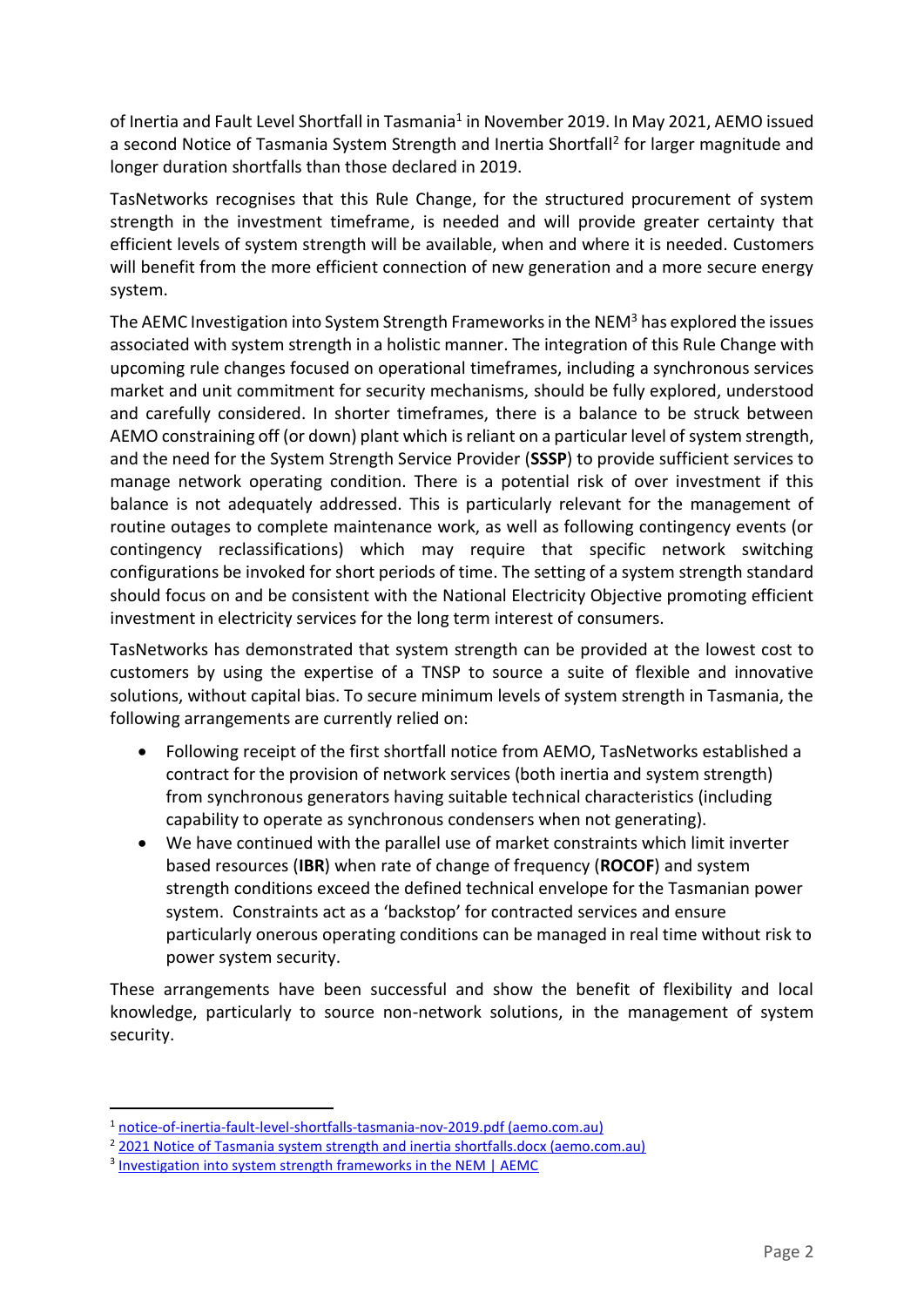of Inertia and Fault Level Shortfall in Tasmania<sup>1</sup> in November 2019. In May 2021, AEMO issued a second Notice of Tasmania System Strength and Inertia Shortfall<sup>2</sup> for larger magnitude and longer duration shortfalls than those declared in 2019.

TasNetworks recognises that this Rule Change, for the structured procurement of system strength in the investment timeframe, is needed and will provide greater certainty that efficient levels of system strength will be available, when and where it is needed. Customers will benefit from the more efficient connection of new generation and a more secure energy system.

The AEMC Investigation into System Strength Frameworks in the NEM<sup>3</sup> has explored the issues associated with system strength in a holistic manner. The integration of this Rule Change with upcoming rule changes focused on operational timeframes, including a synchronous services market and unit commitment for security mechanisms, should be fully explored, understood and carefully considered. In shorter timeframes, there is a balance to be struck between AEMO constraining off (or down) plant which is reliant on a particular level of system strength, and the need for the System Strength Service Provider (**SSSP**) to provide sufficient services to manage network operating condition. There is a potential risk of over investment if this balance is not adequately addressed. This is particularly relevant for the management of routine outages to complete maintenance work, as well as following contingency events (or contingency reclassifications) which may require that specific network switching configurations be invoked for short periods of time. The setting of a system strength standard should focus on and be consistent with the National Electricity Objective promoting efficient investment in electricity services for the long term interest of consumers.

TasNetworks has demonstrated that system strength can be provided at the lowest cost to customers by using the expertise of a TNSP to source a suite of flexible and innovative solutions, without capital bias. To secure minimum levels of system strength in Tasmania, the following arrangements are currently relied on:

- Following receipt of the first shortfall notice from AEMO, TasNetworks established a contract for the provision of network services (both inertia and system strength) from synchronous generators having suitable technical characteristics (including capability to operate as synchronous condensers when not generating).
- We have continued with the parallel use of market constraints which limit inverter based resources (**IBR**) when rate of change of frequency (**ROCOF**) and system strength conditions exceed the defined technical envelope for the Tasmanian power system. Constraints act as a 'backstop' for contracted services and ensure particularly onerous operating conditions can be managed in real time without risk to power system security.

These arrangements have been successful and show the benefit of flexibility and local knowledge, particularly to source non-network solutions, in the management of system security.

 $\overline{a}$ 

<sup>1</sup> [notice-of-inertia-fault-level-shortfalls-tasmania-nov-2019.pdf \(aemo.com.au\)](https://aemo.com.au/-/media/files/electricity/nem/security_and_reliability/system-security-market-frameworks-review/2019/notice-of-inertia-fault-level-shortfalls-tasmania-nov-2019.pdf?la=en)

<sup>&</sup>lt;sup>2</sup> [2021 Notice of Tasmania system strength and inertia shortfalls.docx \(aemo.com.au\)](https://aemo.com.au/-/media/files/electricity/nem/planning_and_forecasting/operability/2021/2021-notice-of-tasmania-system-strength-and-inertia-shortfalls.pdf?la=en)

<sup>&</sup>lt;sup>3</sup> [Investigation into system strength frameworks in the NEM | AEMC](https://www.aemc.gov.au/market-reviews-advice/investigation-system-strength-frameworks-nem)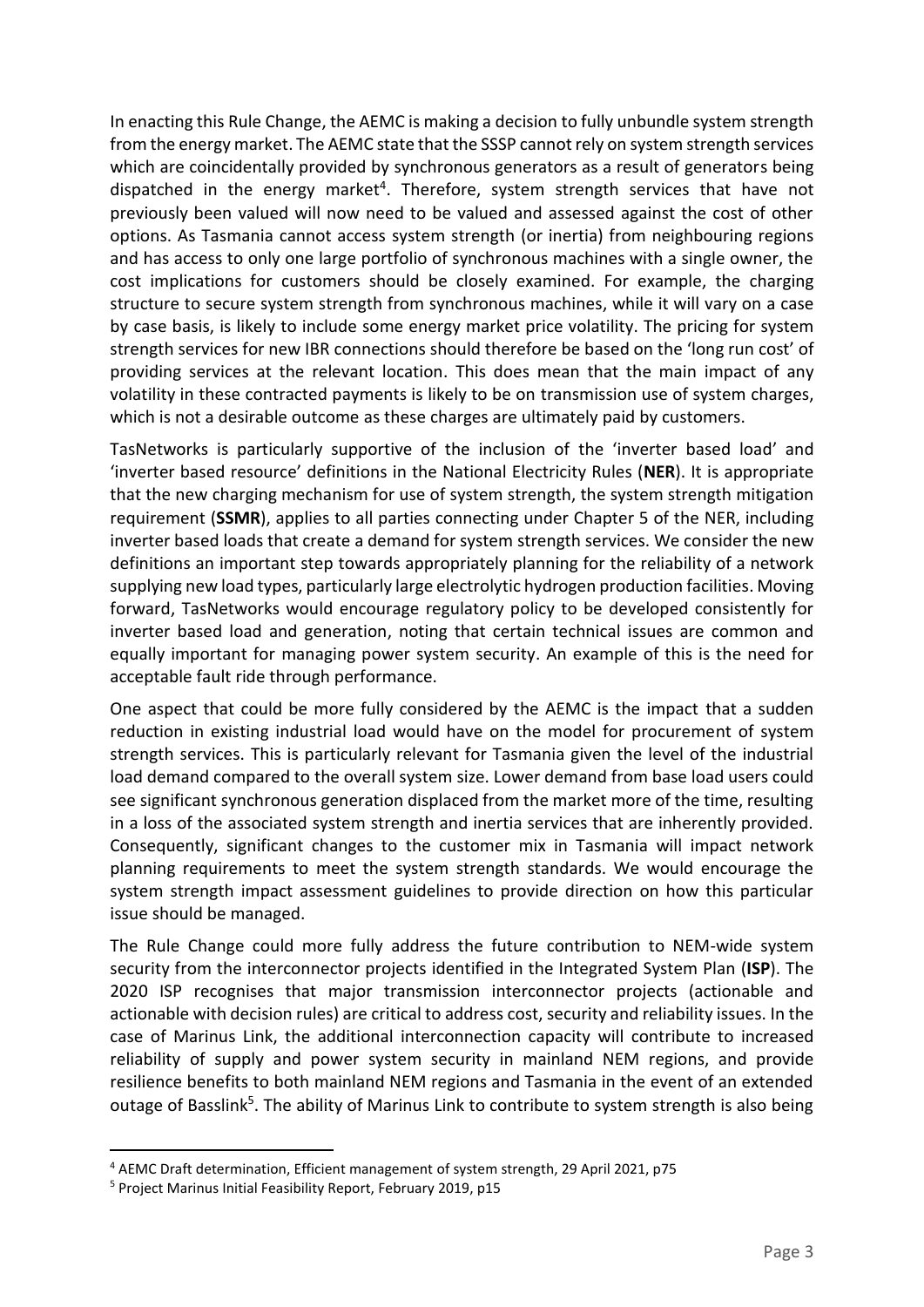In enacting this Rule Change, the AEMC is making a decision to fully unbundle system strength from the energy market. The AEMC state that the SSSP cannot rely on system strength services which are coincidentally provided by synchronous generators as a result of generators being dispatched in the energy market<sup>4</sup>. Therefore, system strength services that have not previously been valued will now need to be valued and assessed against the cost of other options. As Tasmania cannot access system strength (or inertia) from neighbouring regions and has access to only one large portfolio of synchronous machines with a single owner, the cost implications for customers should be closely examined. For example, the charging structure to secure system strength from synchronous machines, while it will vary on a case by case basis, is likely to include some energy market price volatility. The pricing for system strength services for new IBR connections should therefore be based on the 'long run cost' of providing services at the relevant location. This does mean that the main impact of any volatility in these contracted payments is likely to be on transmission use of system charges, which is not a desirable outcome as these charges are ultimately paid by customers.

TasNetworks is particularly supportive of the inclusion of the 'inverter based load' and 'inverter based resource' definitions in the National Electricity Rules (**NER**). It is appropriate that the new charging mechanism for use of system strength, the system strength mitigation requirement (**SSMR**), applies to all parties connecting under Chapter 5 of the NER, including inverter based loads that create a demand for system strength services. We consider the new definitions an important step towards appropriately planning for the reliability of a network supplying new load types, particularly large electrolytic hydrogen production facilities. Moving forward, TasNetworks would encourage regulatory policy to be developed consistently for inverter based load and generation, noting that certain technical issues are common and equally important for managing power system security. An example of this is the need for acceptable fault ride through performance.

One aspect that could be more fully considered by the AEMC is the impact that a sudden reduction in existing industrial load would have on the model for procurement of system strength services. This is particularly relevant for Tasmania given the level of the industrial load demand compared to the overall system size. Lower demand from base load users could see significant synchronous generation displaced from the market more of the time, resulting in a loss of the associated system strength and inertia services that are inherently provided. Consequently, significant changes to the customer mix in Tasmania will impact network planning requirements to meet the system strength standards. We would encourage the system strength impact assessment guidelines to provide direction on how this particular issue should be managed.

The Rule Change could more fully address the future contribution to NEM-wide system security from the interconnector projects identified in the Integrated System Plan (**ISP**). The 2020 ISP recognises that major transmission interconnector projects (actionable and actionable with decision rules) are critical to address cost, security and reliability issues. In the case of Marinus Link, the additional interconnection capacity will contribute to increased reliability of supply and power system security in mainland NEM regions, and provide resilience benefits to both mainland NEM regions and Tasmania in the event of an extended outage of Basslink<sup>5</sup>. The ability of Marinus Link to contribute to system strength is also being

 $\overline{a}$ 

<sup>4</sup> AEMC Draft determination, Efficient management of system strength, 29 April 2021, p75

<sup>5</sup> Project Marinus Initial Feasibility Report, February 2019, p15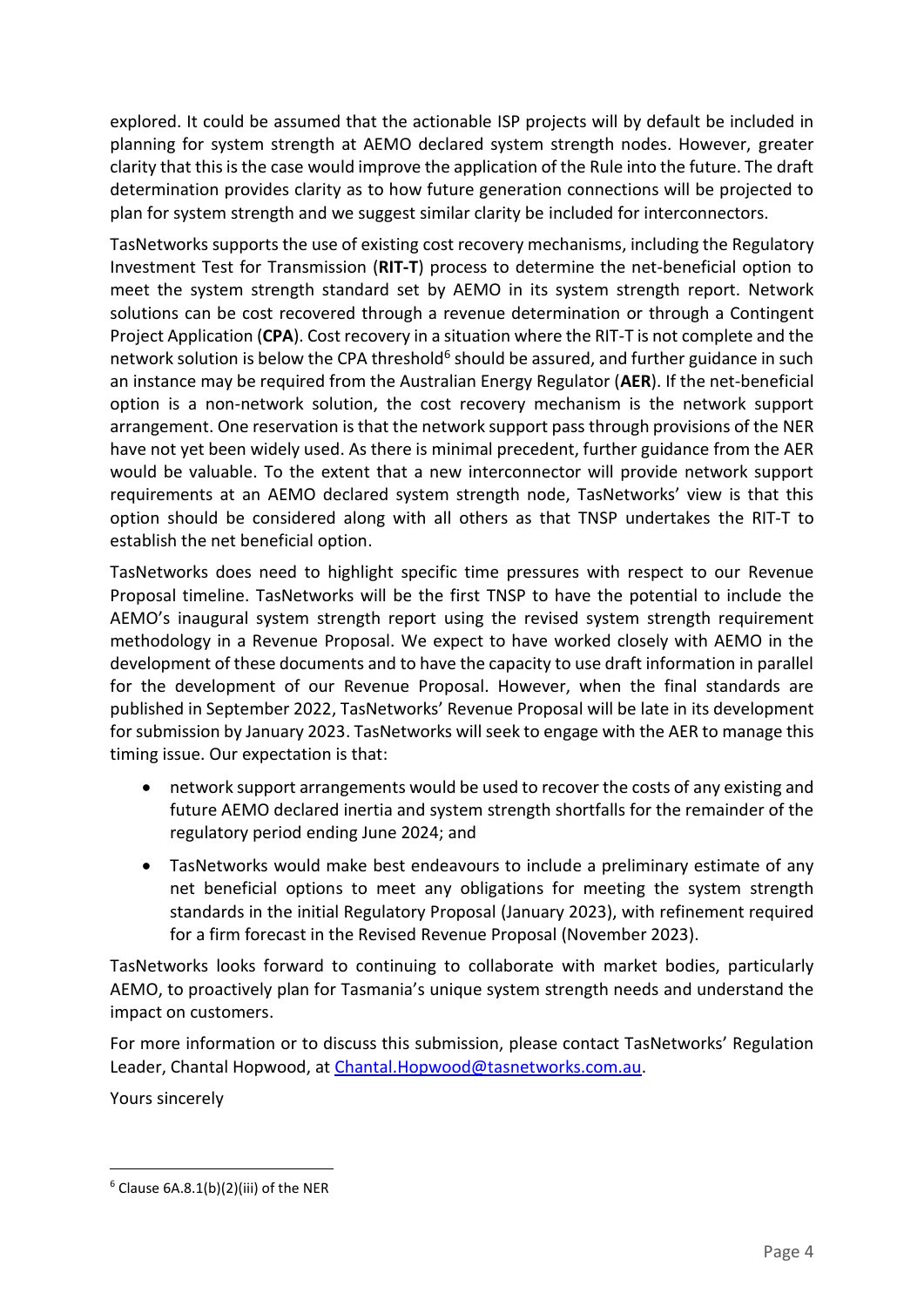explored. It could be assumed that the actionable ISP projects will by default be included in planning for system strength at AEMO declared system strength nodes. However, greater clarity that this is the case would improve the application of the Rule into the future. The draft determination provides clarity as to how future generation connections will be projected to plan for system strength and we suggest similar clarity be included for interconnectors.

TasNetworks supports the use of existing cost recovery mechanisms, including the Regulatory Investment Test for Transmission (**RIT-T**) process to determine the net-beneficial option to meet the system strength standard set by AEMO in its system strength report. Network solutions can be cost recovered through a revenue determination or through a Contingent Project Application (**CPA**). Cost recovery in a situation where the RIT-T is not complete and the network solution is below the CPA threshold<sup>6</sup> should be assured, and further guidance in such an instance may be required from the Australian Energy Regulator (**AER**). If the net-beneficial option is a non-network solution, the cost recovery mechanism is the network support arrangement. One reservation is that the network support pass through provisions of the NER have not yet been widely used. As there is minimal precedent, further guidance from the AER would be valuable. To the extent that a new interconnector will provide network support requirements at an AEMO declared system strength node, TasNetworks' view is that this option should be considered along with all others as that TNSP undertakes the RIT-T to establish the net beneficial option.

TasNetworks does need to highlight specific time pressures with respect to our Revenue Proposal timeline. TasNetworks will be the first TNSP to have the potential to include the AEMO's inaugural system strength report using the revised system strength requirement methodology in a Revenue Proposal. We expect to have worked closely with AEMO in the development of these documents and to have the capacity to use draft information in parallel for the development of our Revenue Proposal. However, when the final standards are published in September 2022, TasNetworks' Revenue Proposal will be late in its development for submission by January 2023. TasNetworks will seek to engage with the AER to manage this timing issue. Our expectation is that:

- network support arrangements would be used to recover the costs of any existing and future AEMO declared inertia and system strength shortfalls for the remainder of the regulatory period ending June 2024; and
- TasNetworks would make best endeavours to include a preliminary estimate of any net beneficial options to meet any obligations for meeting the system strength standards in the initial Regulatory Proposal (January 2023), with refinement required for a firm forecast in the Revised Revenue Proposal (November 2023).

TasNetworks looks forward to continuing to collaborate with market bodies, particularly AEMO, to proactively plan for Tasmania's unique system strength needs and understand the impact on customers.

For more information or to discuss this submission, please contact TasNetworks' Regulation Leader, Chantal Hopwood, at [Chantal.Hopwood@tasnetworks.com.au.](mailto:Chantal.Hopwood@tasnetworks.com.au)

Yours sincerely

 $\overline{a}$  $6$  Clause 6A.8.1(b)(2)(iii) of the NER